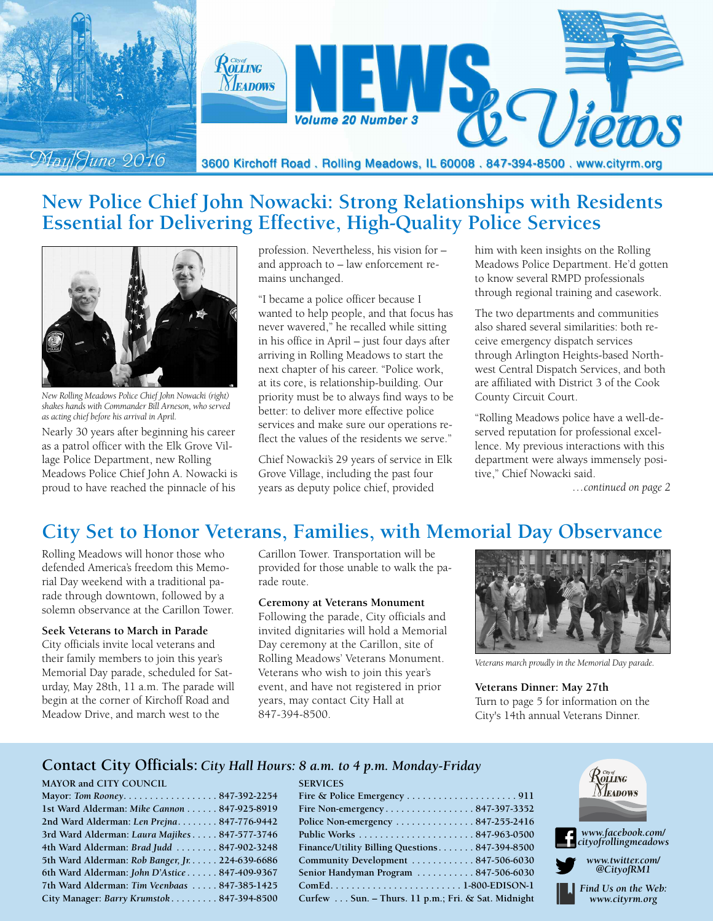

# **New Police Chief John Nowacki: Strong Relationships with Residents Essential for Delivering Effective, High-Quality Police Services**



*New Rolling Meadows Police Chief John Nowacki (right) shakes hands with Commander Bill Arneson, who served as acting chief before his arrival in April.*

Nearly 30 years after beginning his career as a patrol officer with the Elk Grove Village Police Department, new Rolling Meadows Police Chief John A. Nowacki is proud to have reached the pinnacle of his

profession. Nevertheless, his vision for – and approach to – law enforcement remains unchanged.

"I became a police officer because I wanted to help people, and that focus has never wavered," he recalled while sitting in his office in April – just four days after arriving in Rolling Meadows to start the next chapter of his career. "Police work, at its core, is relationship-building. Our priority must be to always find ways to be better: to deliver more effective police services and make sure our operations reflect the values of the residents we serve."

Chief Nowacki's 29 years of service in Elk Grove Village, including the past four years as deputy police chief, provided

him with keen insights on the Rolling Meadows Police Department. He'd gotten to know several RMPD professionals through regional training and casework.

The two departments and communities also shared several similarities: both receive emergency dispatch services through Arlington Heights-based Northwest Central Dispatch Services, and both are affiliated with District 3 of the Cook County Circuit Court.

"Rolling Meadows police have a well-deserved reputation for professional excellence. My previous interactions with this department were always immensely positive," Chief Nowacki said.

*…continued on page 2*

# **City Set to Honor Veterans, Families, with Memorial Day Observance**

Rolling Meadows will honor those who defended America's freedom this Memorial Day weekend with a traditional parade through downtown, followed by a solemn observance at the Carillon Tower.

### **Seek Veterans to March in Parade**

City officials invite local veterans and their family members to join this year's Memorial Day parade, scheduled for Saturday, May 28th, 11 a.m. The parade will begin at the corner of Kirchoff Road and Meadow Drive, and march west to the

Carillon Tower. Transportation will be provided for those unable to walk the parade route.

### **Ceremony at Veterans Monument**

**SERVICES**

Following the parade, City officials and invited dignitaries will hold a Memorial Day ceremony at the Carillon, site of Rolling Meadows' Veterans Monument. Veterans who wish to join this year's event, and have not registered in prior years, may contact City Hall at 847-394-8500.



*Veterans march proudly in the Memorial Day parade.*

**Veterans Dinner: May 27th** Turn to page 5 for information on the City's 14th annual Veterans Dinner.

### **Contact City Officials:** *City Hall Hours: 8 a.m. to 4 p.m. Monday-Friday*

### **MAYOR and CITY COUNCIL**

| Mayor: Tom Rooney847-392-2254                   |  |
|-------------------------------------------------|--|
| 1st Ward Alderman: Mike Cannon 847-925-8919     |  |
| 2nd Ward Alderman: Len Prejna 847-776-9442      |  |
| 3rd Ward Alderman: Laura Majikes 847-577-3746   |  |
| 4th Ward Alderman: Brad Judd  847-902-3248      |  |
| 5th Ward Alderman: Rob Banger, Jr. 224-639-6686 |  |
| 6th Ward Alderman: John D'Astice 847-409-9367   |  |
| 7th Ward Alderman: Tim Veenbaas  847-385-1425   |  |
| City Manager: Barry Krumstok 847-394-8500       |  |
|                                                 |  |

| Fire Non-emergency847-397-3352                |  |
|-----------------------------------------------|--|
| Police Non-emergency 847-255-2416             |  |
|                                               |  |
| Finance/Utility Billing Ouestions847-394-8500 |  |

| Police Non-emergency $\dots\dots\dots\dots 847-255-2416$ |    |
|----------------------------------------------------------|----|
|                                                          | r. |
| Finance/Utility Billing Questions 847-394-8500           | 51 |
| Community Development  847-506-6030                      | m  |
| Senior Handyman Program  847-506-6030                    | T  |
|                                                          | H  |
| Curfew Sun. – Thurs. 11 p.m.; Fri. & Sat. Midnight       |    |
|                                                          |    |

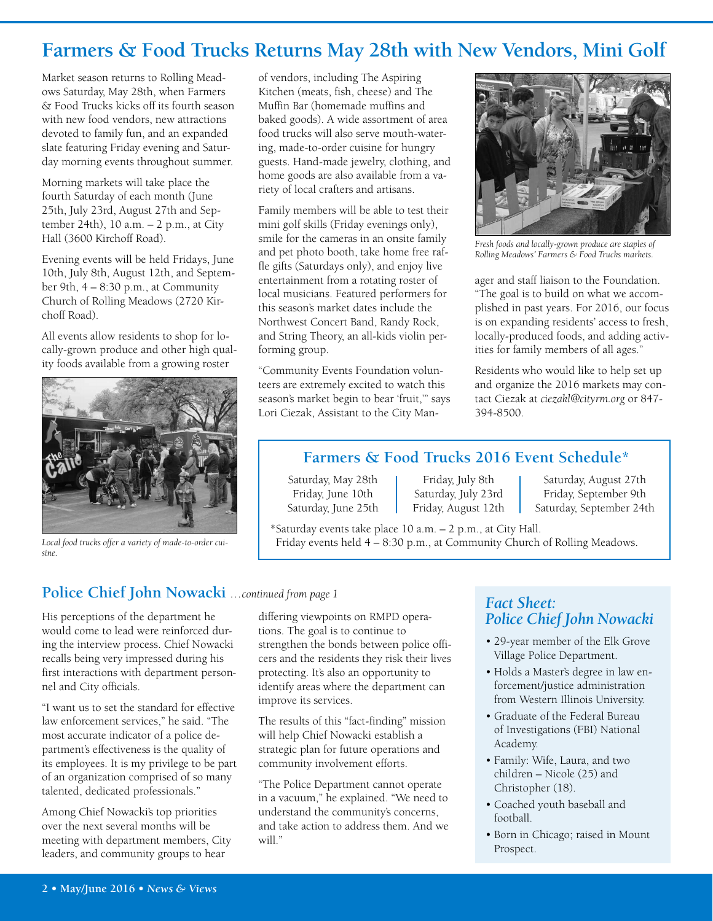# **Farmers & Food Trucks Returns May 28th with New Vendors, Mini Golf**

Market season returns to Rolling Meadows Saturday, May 28th, when Farmers & Food Trucks kicks off its fourth season with new food vendors, new attractions devoted to family fun, and an expanded slate featuring Friday evening and Saturday morning events throughout summer.

Morning markets will take place the fourth Saturday of each month (June 25th, July 23rd, August 27th and September 24th), 10 a.m. – 2 p.m., at City Hall (3600 Kirchoff Road).

Evening events will be held Fridays, June 10th, July 8th, August 12th, and September 9th, 4 – 8:30 p.m., at Community Church of Rolling Meadows (2720 Kirchoff Road).

All events allow residents to shop for locally-grown produce and other high quality foods available from a growing roster



of vendors, including The Aspiring Kitchen (meats, fish, cheese) and The Muffin Bar (homemade muffins and baked goods). A wide assortment of area food trucks will also serve mouth-watering, made-to-order cuisine for hungry guests. Hand-made jewelry, clothing, and home goods are also available from a variety of local crafters and artisans.

Family members will be able to test their mini golf skills (Friday evenings only), smile for the cameras in an onsite family and pet photo booth, take home free raffle gifts (Saturdays only), and enjoy live entertainment from a rotating roster of local musicians. Featured performers for this season's market dates include the Northwest Concert Band, Randy Rock, and String Theory, an all-kids violin performing group.

"Community Events Foundation volunteers are extremely excited to watch this season's market begin to bear 'fruit,'" says Lori Ciezak, Assistant to the City Man-



*Fresh foods and locally-grown produce are staples of Rolling Meadows' Farmers & Food Trucks markets.*

ager and staff liaison to the Foundation. "The goal is to build on what we accomplished in past years. For 2016, our focus is on expanding residents' access to fresh, locally-produced foods, and adding activities for family members of all ages."

Residents who would like to help set up and organize the 2016 markets may contact Ciezak at *ciezakl@cityrm.org* or 847- 394-8500.

### **Farmers & Food Trucks 2016 Event Schedule\***

Saturday, May 28th Friday, July 8th Saturday, August 27th Friday, July 23rd Friday, September 9th Friday, June 10th Saturday, July 23rd Friday, September 9th Saturday, June 25th Friday, August 12th Saturday, September 24th

\*Saturday events take place 10 a.m. – 2 p.m., at City Hall. *Local food trucks offer a variety of made-to-order cui-* Friday events held  $4 - 8:30$  p.m., at Community Church of Rolling Meadows.

### **Police Chief John Nowacki** *…continued from page 1*

His perceptions of the department he would come to lead were reinforced during the interview process. Chief Nowacki recalls being very impressed during his first interactions with department personnel and City officials.

"I want us to set the standard for effective law enforcement services," he said. "The most accurate indicator of a police department's effectiveness is the quality of its employees. It is my privilege to be part of an organization comprised of so many talented, dedicated professionals."

Among Chief Nowacki's top priorities over the next several months will be meeting with department members, City leaders, and community groups to hear

differing viewpoints on RMPD operations. The goal is to continue to strengthen the bonds between police officers and the residents they risk their lives protecting. It's also an opportunity to identify areas where the department can improve its services.

The results of this "fact-finding" mission will help Chief Nowacki establish a strategic plan for future operations and community involvement efforts.

"The Police Department cannot operate in a vacuum," he explained. "We need to understand the community's concerns, and take action to address them. And we will."

### *Fact Sheet: Police Chief John Nowacki*

- 29-year member of the Elk Grove Village Police Department.
- Holds a Master's degree in law enforcement/justice administration from Western Illinois University.
- Graduate of the Federal Bureau of Investigations (FBI) National Academy.
- Family: Wife, Laura, and two children – Nicole (25) and Christopher (18).
- Coached youth baseball and football.
- Born in Chicago; raised in Mount Prospect.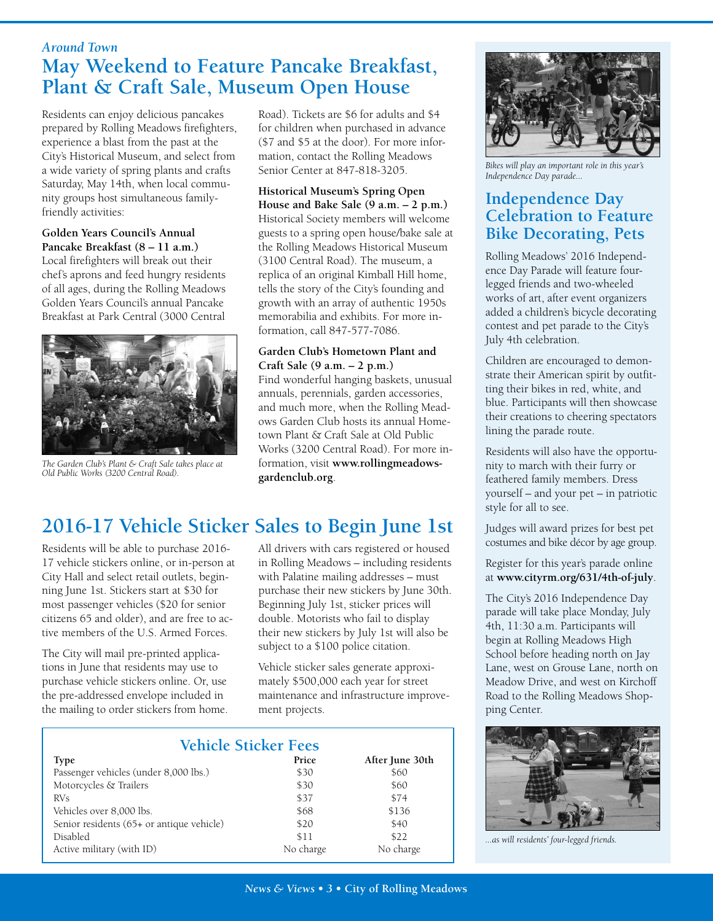### *Around Town* **May Weekend to Feature Pancake Breakfast, Plant & Craft Sale, Museum Open House**

Residents can enjoy delicious pancakes prepared by Rolling Meadows firefighters, experience a blast from the past at the City's Historical Museum, and select from a wide variety of spring plants and crafts Saturday, May 14th, when local community groups host simultaneous familyfriendly activities:

#### **Golden Years Council's Annual Pancake Breakfast (8 – 11 a.m.)**

Local firefighters will break out their chef's aprons and feed hungry residents of all ages, during the Rolling Meadows Golden Years Council's annual Pancake Breakfast at Park Central (3000 Central



*The Garden Club's Plant & Craft Sale takes place at Old Public Works (3200 Central Road).*

Road). Tickets are \$6 for adults and \$4 for children when purchased in advance (\$7 and \$5 at the door). For more information, contact the Rolling Meadows Senior Center at 847-818-3205.

### **Historical Museum's Spring Open**

**House and Bake Sale (9 a.m. – 2 p.m.)** Historical Society members will welcome guests to a spring open house/bake sale at the Rolling Meadows Historical Museum (3100 Central Road). The museum, a replica of an original Kimball Hill home, tells the story of the City's founding and growth with an array of authentic 1950s memorabilia and exhibits. For more information, call 847-577-7086.

### **Garden Club's Hometown Plant and Craft Sale (9 a.m. – 2 p.m.)**

Find wonderful hanging baskets, unusual annuals, perennials, garden accessories, and much more, when the Rolling Meadows Garden Club hosts its annual Hometown Plant & Craft Sale at Old Public Works (3200 Central Road). For more information, visit **www.rollingmeadowsgardenclub.org**.

# **2016-17 Vehicle Sticker Sales to Begin June 1st**

Residents will be able to purchase 2016- 17 vehicle stickers online, or in-person at City Hall and select retail outlets, beginning June 1st. Stickers start at \$30 for most passenger vehicles (\$20 for senior citizens 65 and older), and are free to active members of the U.S. Armed Forces.

The City will mail pre-printed applications in June that residents may use to purchase vehicle stickers online. Or, use the pre-addressed envelope included in the mailing to order stickers from home. All drivers with cars registered or housed in Rolling Meadows – including residents with Palatine mailing addresses – must purchase their new stickers by June 30th. Beginning July 1st, sticker prices will double. Motorists who fail to display their new stickers by July 1st will also be subject to a \$100 police citation.

Vehicle sticker sales generate approximately \$500,000 each year for street maintenance and infrastructure improvement projects.

| <b>Vehicle Sticker Fees</b>               |              |                 |  |  |
|-------------------------------------------|--------------|-----------------|--|--|
| <b>Type</b>                               | <b>Price</b> | After June 30th |  |  |
| Passenger vehicles (under 8,000 lbs.)     | \$30         | \$60            |  |  |
| Motorcycles & Trailers                    | \$30         | \$60            |  |  |
| <b>RVs</b>                                | \$37         | \$74            |  |  |
| Vehicles over 8,000 lbs.                  | \$68         | \$136           |  |  |
| Senior residents (65+ or antique vehicle) | \$20         | \$40            |  |  |
| <b>Disabled</b>                           | \$11         | \$22            |  |  |
| Active military (with ID)                 | No charge    | No charge       |  |  |



*Bikes will play an important role in this year's Independence Day parade...*

### **Independence Day Celebration to Feature Bike Decorating, Pets**

Rolling Meadows' 2016 Independence Day Parade will feature fourlegged friends and two-wheeled works of art, after event organizers added a children's bicycle decorating contest and pet parade to the City's July 4th celebration.

Children are encouraged to demonstrate their American spirit by outfitting their bikes in red, white, and blue. Participants will then showcase their creations to cheering spectators lining the parade route.

Residents will also have the opportunity to march with their furry or feathered family members. Dress yourself – and your pet – in patriotic style for all to see.

Judges will award prizes for best pet costumes and bike décor by age group.

Register for this year's parade online at **www.cityrm.org/631/4th-of-july**.

The City's 2016 Independence Day parade will take place Monday, July 4th, 11:30 a.m. Participants will begin at Rolling Meadows High School before heading north on Jay Lane, west on Grouse Lane, north on Meadow Drive, and west on Kirchoff Road to the Rolling Meadows Shopping Center.



*...as will residents' four-legged friends.*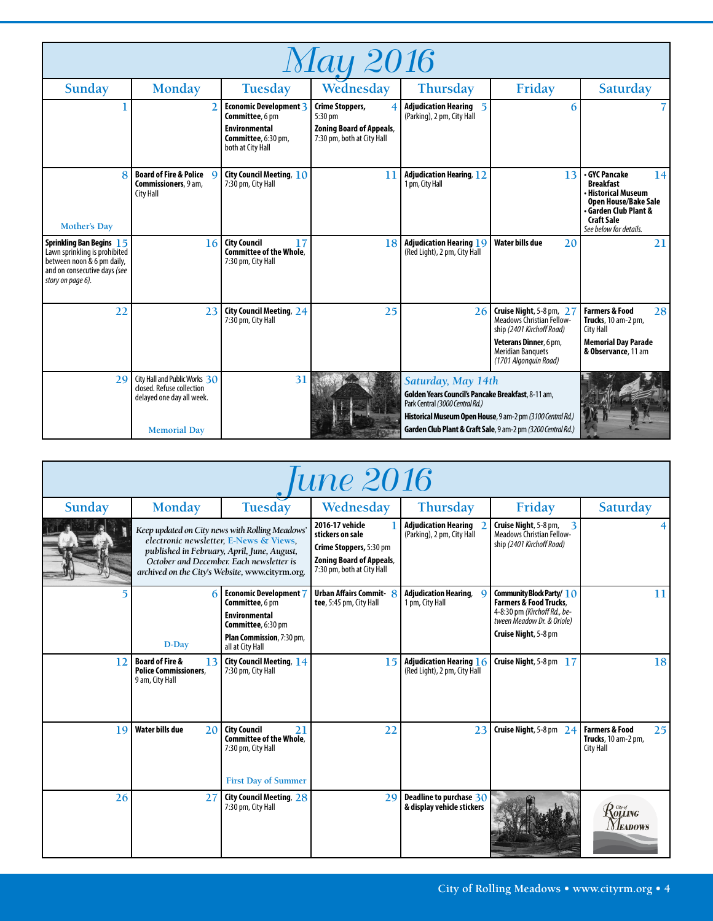| <b>May 2016</b>                                                                                                                                     |                                                                                                                |                                                                                   |                                                               |                                                                                                                                                                                                                                           |                                                                                                                                                                          |                                                                                                                                                                     |
|-----------------------------------------------------------------------------------------------------------------------------------------------------|----------------------------------------------------------------------------------------------------------------|-----------------------------------------------------------------------------------|---------------------------------------------------------------|-------------------------------------------------------------------------------------------------------------------------------------------------------------------------------------------------------------------------------------------|--------------------------------------------------------------------------------------------------------------------------------------------------------------------------|---------------------------------------------------------------------------------------------------------------------------------------------------------------------|
| Sunday                                                                                                                                              | <b>Monday</b>                                                                                                  | Tuesday                                                                           | Wednesday                                                     | <b>Thursday</b>                                                                                                                                                                                                                           | Friday                                                                                                                                                                   | Saturday                                                                                                                                                            |
|                                                                                                                                                     | $\overline{2}$                                                                                                 | <b>Economic Development 3</b><br>Committee, 6 pm<br><b>Environmental</b>          | Crime Stoppers,<br>5:30 pm<br><b>Zoning Board of Appeals,</b> | Adjudication Hearing 5<br>(Parking), 2 pm, City Hall                                                                                                                                                                                      | 6                                                                                                                                                                        |                                                                                                                                                                     |
|                                                                                                                                                     |                                                                                                                | Committee, 6:30 pm,<br>both at City Hall                                          | 7:30 pm, both at City Hall                                    |                                                                                                                                                                                                                                           |                                                                                                                                                                          |                                                                                                                                                                     |
| 8<br><b>Mother's Day</b>                                                                                                                            | <b>Board of Fire &amp; Police Q</b><br>Commissioners, 9 am,<br><b>City Hall</b>                                | City Council Meeting, $10$<br>7:30 pm, City Hall                                  | 11                                                            | <b>Adjudication Hearing, 12</b><br>1 pm, City Hall                                                                                                                                                                                        | 13                                                                                                                                                                       | GYC Pancake<br>14<br><b>Breakfast</b><br>· Historical Museum<br><b>Open House/Bake Sale</b><br>• Garden Club Plant &<br><b>Craft Sale</b><br>See below for details. |
| <b>Sprinkling Ban Begins 15</b><br>Lawn sprinkling is prohibited<br>between noon & 6 pm daily,<br>and on consecutive days (see<br>story on page 6). | 16                                                                                                             | <b>City Council</b><br>17<br><b>Committee of the Whole.</b><br>7:30 pm, City Hall | 18                                                            | <b>Adjudication Hearing 19</b><br>(Red Light), 2 pm, City Hall                                                                                                                                                                            | <b>Water bills due</b><br>20                                                                                                                                             | 21                                                                                                                                                                  |
| 22                                                                                                                                                  | 23                                                                                                             | City Council Meeting, 24<br>7:30 pm, City Hall                                    | 25                                                            | 26                                                                                                                                                                                                                                        | Cruise Night, 5-8 pm, 27<br><b>Meadows Christian Fellow-</b><br>ship (2401 Kirchoff Road)<br>Veterans Dinner, 6 pm,<br><b>Meridian Banquets</b><br>(1701 Algonquin Road) | <b>Farmers &amp; Food</b><br>28<br>Trucks, 10 am-2 pm,<br><b>City Hall</b><br><b>Memorial Day Parade</b><br>& Observance, 11 am                                     |
| 79                                                                                                                                                  | City Hall and Public Works 30<br>closed. Refuse collection<br>delayed one day all week.<br><b>Memorial Day</b> | 31                                                                                |                                                               | Saturday, May 14th<br>Golden Years Council's Pancake Breakfast, 8-11 am,<br>Park Central (3000 Central Rd.)<br>Historical Museum Open House, 9 am-2 pm (3100 Central Rd.)<br>Garden Club Plant & Craft Sale, 9 am-2 pm (3200 Central Rd.) |                                                                                                                                                                          |                                                                                                                                                                     |

| une 2016 |                                                                                     |                                                                                                                                                                                                                                         |                                                                                                                                 |                                                           |                                                                                                                                                        |                                                                     |
|----------|-------------------------------------------------------------------------------------|-----------------------------------------------------------------------------------------------------------------------------------------------------------------------------------------------------------------------------------------|---------------------------------------------------------------------------------------------------------------------------------|-----------------------------------------------------------|--------------------------------------------------------------------------------------------------------------------------------------------------------|---------------------------------------------------------------------|
| Sunday   | <b>Monday</b>                                                                       | <b>Tuesday</b>                                                                                                                                                                                                                          | Wednesday                                                                                                                       | <b>Thursday</b>                                           | Friday                                                                                                                                                 | Saturday                                                            |
|          |                                                                                     | Keep updated on City news with Rolling Meadows'<br>electronic newsletter, E-News & Views,<br>published in February, April, June, August,<br>October and December. Each newsletter is<br>archived on the City's Website, www.cityrm.org. | 2016-17 vehicle<br>stickers on sale<br>Crime Stoppers, 5:30 pm<br><b>Zoning Board of Appeals,</b><br>7:30 pm, both at City Hall | <b>Adjudication Hearing</b><br>(Parking), 2 pm, City Hall | Cruise Night, 5-8 pm,<br>3<br>Meadows Christian Fellow-<br>ship (2401 Kirchoff Road)                                                                   |                                                                     |
|          | 6<br>D-Day                                                                          | Economic Development 7<br>Committee, 6 pm<br><b>Environmental</b><br>Committee, 6:30 pm<br>Plan Commission, 7:30 pm,<br>all at City Hall                                                                                                | <b>Urban Affairs Commit-8</b><br>tee, 5:45 pm, City Hall                                                                        | <b>Adjudication Hearing,</b><br>1 pm, City Hall           | Community Block Party/ $10$<br><b>Farmers &amp; Food Trucks,</b><br>4-8:30 pm (Kirchoff Rd., be-<br>tween Meadow Dr. & Oriole)<br>Cruise Night, 5-8 pm | 11                                                                  |
| 12       | <b>Board of Fire &amp;</b><br>13<br><b>Police Commissioners.</b><br>9 am, City Hall | City Council Meeting, 14<br>7:30 pm, City Hall                                                                                                                                                                                          | 15                                                                                                                              | Adjudication Hearing 16<br>(Red Light), 2 pm, City Hall   | Cruise Night, 5-8 pm 17                                                                                                                                | 18                                                                  |
| 19       | Water bills due<br>20                                                               | <b>City Council</b><br>21<br>Committee of the Whole.<br>7:30 pm, City Hall<br><b>First Day of Summer</b>                                                                                                                                | 22                                                                                                                              | 23                                                        | Cruise Night, 5-8 pm 24                                                                                                                                | <b>Farmers &amp; Food</b><br>25<br>Trucks, 10 am-2 pm,<br>City Hall |
| 26       | 27                                                                                  | City Council Meeting, 28<br>7:30 pm, City Hall                                                                                                                                                                                          | 29                                                                                                                              | Deadline to purchase 30<br>& display vehicle stickers     |                                                                                                                                                        | $R$ olling<br><i>EADOWS</i>                                         |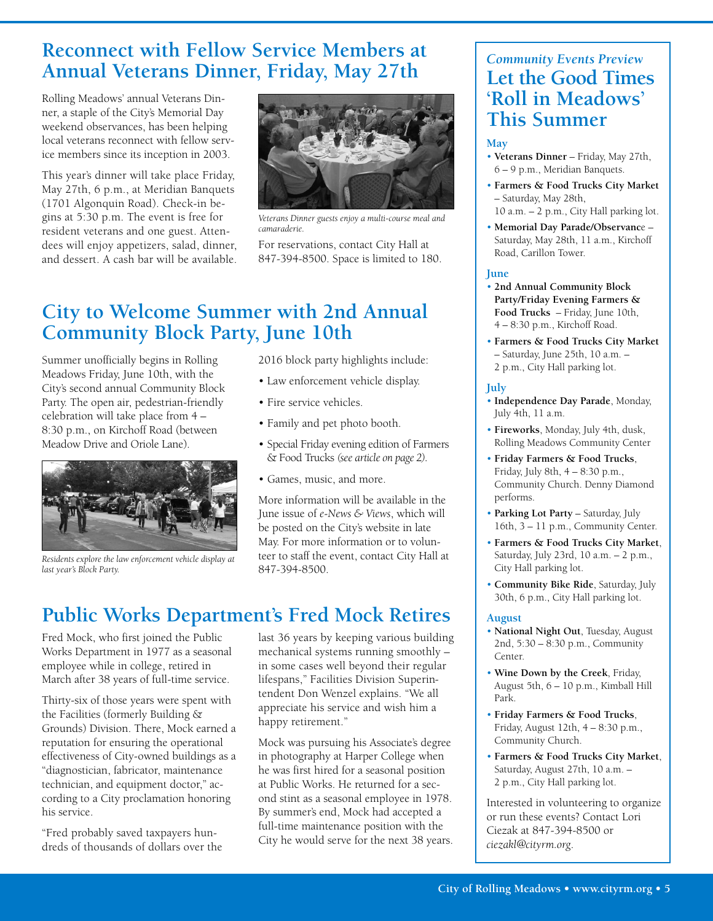## **Reconnect with Fellow Service Members at Annual Veterans Dinner, Friday, May 27th**

Rolling Meadows' annual Veterans Dinner, a staple of the City's Memorial Day weekend observances, has been helping local veterans reconnect with fellow service members since its inception in 2003.

This year's dinner will take place Friday, May 27th, 6 p.m., at Meridian Banquets (1701 Algonquin Road). Check-in begins at 5:30 p.m. The event is free for resident veterans and one guest. Attendees will enjoy appetizers, salad, dinner, and dessert. A cash bar will be available.



*Veterans Dinner guests enjoy a multi-course meal and camaraderie.*

For reservations, contact City Hall at 847-394-8500. Space is limited to 180.

# **City to Welcome Summer with 2nd Annual Community Block Party, June 10th**

Summer unofficially begins in Rolling Meadows Friday, June 10th, with the City's second annual Community Block Party. The open air, pedestrian-friendly celebration will take place from 4 – 8:30 p.m., on Kirchoff Road (between Meadow Drive and Oriole Lane).



847-394-8500. *Residents explore the law enforcement vehicle display at last year's Block Party.*

2016 block party highlights include:

- Law enforcement vehicle display.
- Fire service vehicles.
- Family and pet photo booth.
- Special Friday evening edition of Farmers & Food Trucks *(see article on page 2).*
- Games, music, and more.

More information will be available in the June issue of *e-News & Views*, which will be posted on the City's website in late May. For more information or to volunteer to staff the event, contact City Hall at

# **Public Works Department's Fred Mock Retires**

Fred Mock, who first joined the Public Works Department in 1977 as a seasonal employee while in college, retired in March after 38 years of full-time service.

Thirty-six of those years were spent with the Facilities (formerly Building & Grounds) Division. There, Mock earned a reputation for ensuring the operational effectiveness of City-owned buildings as a "diagnostician, fabricator, maintenance technician, and equipment doctor," according to a City proclamation honoring his service.

"Fred probably saved taxpayers hundreds of thousands of dollars over the last 36 years by keeping various building mechanical systems running smoothly – in some cases well beyond their regular lifespans," Facilities Division Superintendent Don Wenzel explains. "We all appreciate his service and wish him a happy retirement."

Mock was pursuing his Associate's degree in photography at Harper College when he was first hired for a seasonal position at Public Works. He returned for a second stint as a seasonal employee in 1978. By summer's end, Mock had accepted a full-time maintenance position with the City he would serve for the next 38 years.

## *Community Events Preview* **Let the Good Times 'Roll in Meadows' This Summer**

### **May**

- **Veterans Dinner** Friday, May 27th, 6 – 9 p.m., Meridian Banquets.
- **Farmers & Food Trucks City Market** – Saturday, May 28th, 10 a.m. – 2 p.m., City Hall parking lot.
- **Memorial Day Parade/Observanc**e Saturday, May 28th, 11 a.m., Kirchoff Road, Carillon Tower.

#### **June**

- **2nd Annual Community Block Party/Friday Evening Farmers & Food Trucks** – Friday, June 10th, 4 – 8:30 p.m., Kirchoff Road.
- **Farmers & Food Trucks City Market** – Saturday, June 25th, 10 a.m. – 2 p.m., City Hall parking lot.

#### **July**

- **Independence Day Parade**, Monday, July 4th, 11 a.m.
- **Fireworks**, Monday, July 4th, dusk, Rolling Meadows Community Center
- **Friday Farmers & Food Trucks**, Friday, July 8th, 4 – 8:30 p.m., Community Church. Denny Diamond performs.
- **Parking Lot Party** Saturday, July 16th, 3 – 11 p.m., Community Center.
- **Farmers & Food Trucks City Market**, Saturday, July 23rd, 10 a.m. – 2 p.m., City Hall parking lot.
- **Community Bike Ride**, Saturday, July 30th, 6 p.m., City Hall parking lot.

### **August**

- **National Night Out**, Tuesday, August 2nd, 5:30 – 8:30 p.m., Community Center.
- **Wine Down by the Creek**, Friday, August 5th, 6 – 10 p.m., Kimball Hill Park.
- **Friday Farmers & Food Trucks**, Friday, August 12th, 4 – 8:30 p.m., Community Church.
- **Farmers & Food Trucks City Market**, Saturday, August 27th, 10 a.m. – 2 p.m., City Hall parking lot.

Interested in volunteering to organize or run these events? Contact Lori Ciezak at 847-394-8500 or *ciezakl@cityrm.org*.